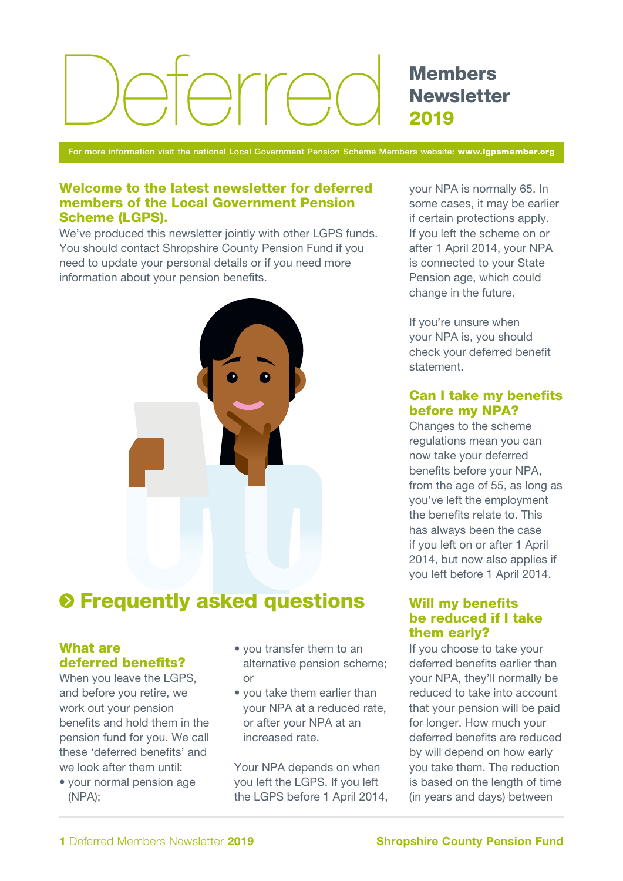# $D/T$

Members **Newsletter** 2019

For more information visit the national Local Government Pension Scheme Members website: www.lgpsmember.org

#### Welcome to the latest newsletter for deferred members of the Local Government Pension Scheme (LGPS).

We've produced this newsletter jointly with other LGPS funds. You should contact Shropshire County Pension Fund if you need to update your personal details or if you need more information about your pension benefits.



# $\odot$  **Frequently asked questions**

## What are deferred benefits?

When you leave the LGPS, and before you retire, we work out your pension benefits and hold them in the pension fund for you. We call these 'deferred benefits' and we look after them until:

• your normal pension age (NPA);

- you transfer them to an alternative pension scheme; or
- you take them earlier than your NPA at a reduced rate, or after your NPA at an increased rate.

Your NPA depends on when you left the LGPS. If you left the LGPS before 1 April 2014, your NPA is normally 65. In some cases, it may be earlier if certain protections apply. If you left the scheme on or after 1 April 2014, your NPA is connected to your State Pension age, which could change in the future.

If you're unsure when your NPA is, you should check your deferred benefit statement.

#### Can I take my benefits before my NPA?

Changes to the scheme regulations mean you can now take your deferred benefits before your NPA, from the age of 55, as long as you've left the employment the benefits relate to. This has always been the case if you left on or after 1 April 2014, but now also applies if you left before 1 April 2014.

#### Will my benefits be reduced if I take them early?

If you choose to take your deferred benefits earlier than your NPA, they'll normally be reduced to take into account that your pension will be paid for longer. How much your deferred benefits are reduced by will depend on how early you take them. The reduction is based on the length of time (in years and days) between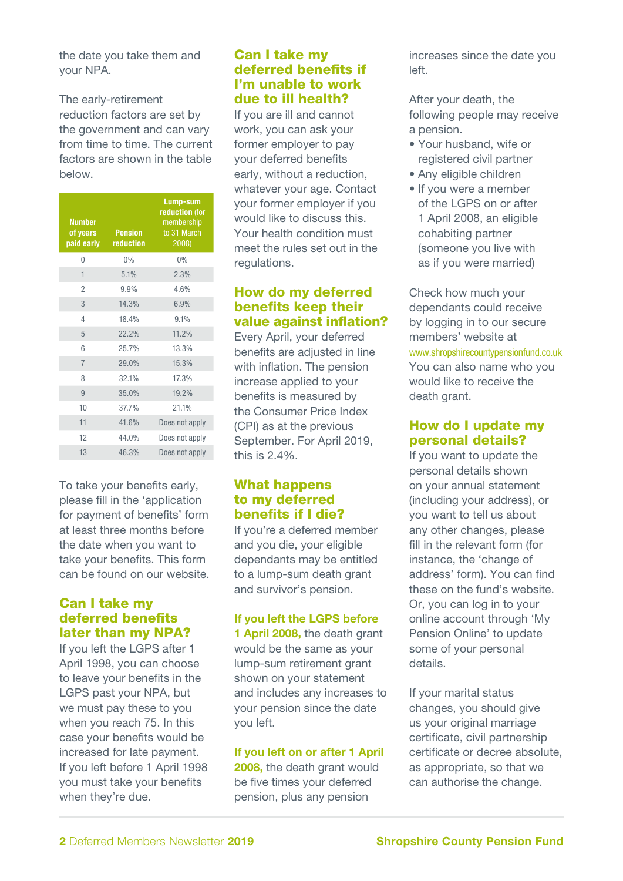the date you take them and your NPA.

The early-retirement reduction factors are set by the government and can vary from time to time. The current factors are shown in the table below.

| <b>Number</b><br>of years<br>paid early | <b>Pension</b><br>reduction | Lump-sum<br>reduction (for<br>membership<br>to 31 March<br>2008) |
|-----------------------------------------|-----------------------------|------------------------------------------------------------------|
| $\Omega$                                | 0%                          | 0%                                                               |
| 1                                       | 5.1%                        | 2.3%                                                             |
| 2                                       | 9.9%                        | 4.6%                                                             |
| 3                                       | 14.3%                       | 6.9%                                                             |
| 4                                       | 18.4%                       | 9.1%                                                             |
| 5                                       | 22.2%                       | 11.2%                                                            |
| 6                                       | 25.7%                       | 13.3%                                                            |
| $\overline{7}$                          | 29.0%                       | 15.3%                                                            |
| 8                                       | 32.1%                       | 17.3%                                                            |
| 9                                       | 35.0%                       | 19.2%                                                            |
| 10                                      | 37.7%                       | 21.1%                                                            |
| 11                                      | 41.6%                       | Does not apply                                                   |
| 12                                      | 44.0%                       | Does not apply                                                   |
| 13                                      | 46.3%                       | Does not apply                                                   |

To take your benefits early, please fill in the 'application for payment of benefits' form at least three months before the date when you want to take your benefits. This form can be found on our website.

#### Can I take my deferred benefits later than my NPA?

If you left the LGPS after 1 April 1998, you can choose to leave your benefits in the LGPS past your NPA, but we must pay these to you when you reach 75. In this case your benefits would be increased for late payment. If you left before 1 April 1998 you must take your benefits when they're due.

#### Can I take my deferred benefits if I'm unable to work due to ill health?

If you are ill and cannot work, you can ask your former employer to pay your deferred benefits early, without a reduction, whatever your age. Contact your former employer if you would like to discuss this. Your health condition must meet the rules set out in the regulations.

## How do my deferred benefits keep their value against inflation?

Every April, your deferred benefits are adjusted in line with inflation. The pension increase applied to your benefits is measured by the Consumer Price Index (CPI) as at the previous September. For April 2019, this is 2.4%.

#### What happens to my deferred benefits if I die?

If you're a deferred member and you die, your eligible dependants may be entitled to a lump-sum death grant and survivor's pension.

#### If you left the LGPS before

1 April 2008, the death grant would be the same as your lump-sum retirement grant shown on your statement and includes any increases to your pension since the date you left.

#### If you left on or after 1 April

2008, the death grant would be five times your deferred pension, plus any pension

increases since the date you left.

After your death, the following people may receive a pension.

- Your husband, wife or registered civil partner
- Any eligible children
- If you were a member of the LGPS on or after 1 April 2008, an eligible cohabiting partner (someone you live with as if you were married)

Check how much your dependants could receive by logging in to our secure members' website at www.shropshirecountypensionfund.co.uk You can also name who you would like to receive the death grant.

#### How do I update my personal details?

If you want to update the personal details shown on your annual statement (including your address), or you want to tell us about any other changes, please fill in the relevant form (for instance, the 'change of address' form). You can find these on the fund's website. Or, you can log in to your online account through 'My Pension Online' to update some of your personal details.

If your marital status changes, you should give us your original marriage certificate, civil partnership certificate or decree absolute, as appropriate, so that we can authorise the change.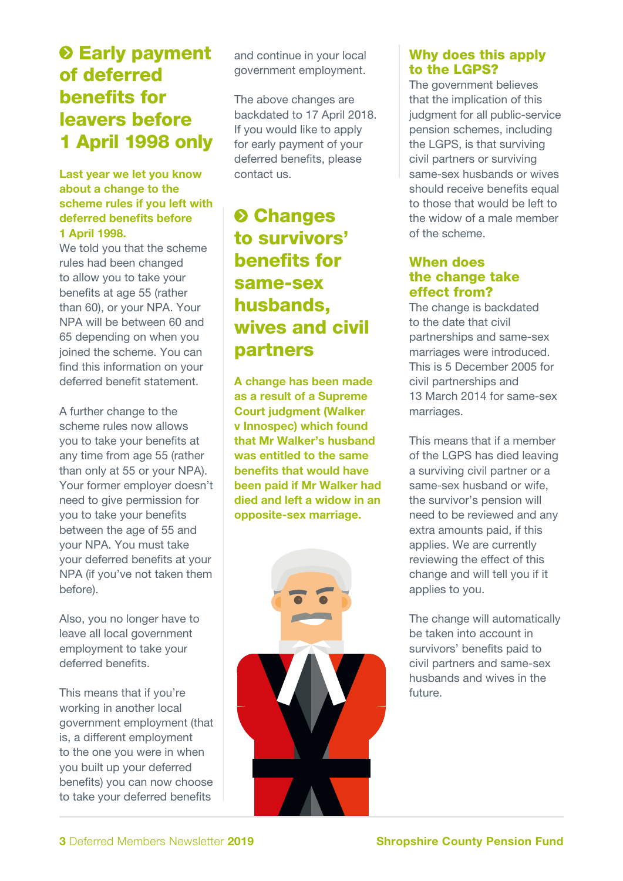## $\odot$  **Early payment** of deferred benefits for leavers before 1 April 1998 only

#### Last year we let you know about a change to the scheme rules if you left with deferred benefits before 1 April 1998.

We told you that the scheme rules had been changed to allow you to take your benefits at age 55 (rather than 60), or your NPA. Your NPA will be between 60 and 65 depending on when you joined the scheme. You can find this information on your deferred benefit statement.

A further change to the scheme rules now allows you to take your benefits at any time from age 55 (rather than only at 55 or your NPA). Your former employer doesn't need to give permission for you to take your benefits between the age of 55 and your NPA. You must take your deferred benefits at your NPA (if you've not taken them before).

Also, you no longer have to leave all local government employment to take your deferred benefits.

This means that if you're working in another local government employment (that is, a different employment to the one you were in when you built up your deferred benefits) you can now choose to take your deferred benefits

and continue in your local government employment.

The above changes are backdated to 17 April 2018. If you would like to apply for early payment of your deferred benefits, please contact us.

# **<sup>O</sup>** Changes to survivors' benefits for same-sex husbands, wives and civil partners

A change has been made as a result of a Supreme Court judgment (Walker v Innospec) which found that Mr Walker's husband was entitled to the same benefits that would have been paid if Mr Walker had died and left a widow in an opposite-sex marriage.



## Why does this apply to the LGPS?

The government believes that the implication of this judgment for all public-service pension schemes, including the LGPS, is that surviving civil partners or surviving same-sex husbands or wives should receive benefits equal to those that would be left to the widow of a male member of the scheme.

#### When does the change take effect from?

The change is backdated to the date that civil partnerships and same-sex marriages were introduced. This is 5 December 2005 for civil partnerships and 13 March 2014 for same-sex marriages.

This means that if a member of the LGPS has died leaving a surviving civil partner or a same-sex husband or wife, the survivor's pension will need to be reviewed and any extra amounts paid, if this applies. We are currently reviewing the effect of this change and will tell you if it applies to you.

The change will automatically be taken into account in survivors' benefits paid to civil partners and same-sex husbands and wives in the future.